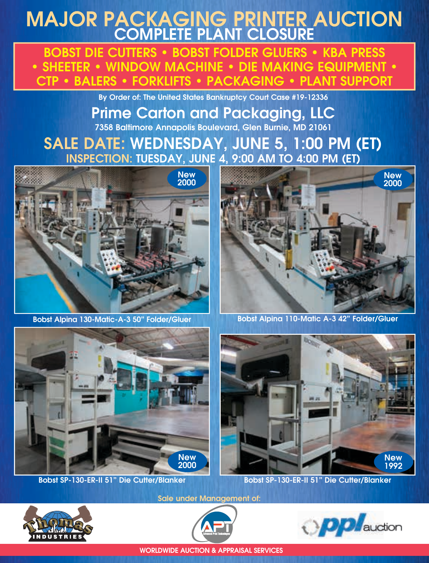# MAJOR PACKAGING PRINTER AUCTION COMPLETE PLANT CLOSURE

BOBST DIE CUTTERS • BOBST FOLDER GLUERS • KBA PRESS • SHEETER • WINDOW MACHINE • DIE MAKING EQUIPMENT • CTP • BALERS • FORKLIFTS • PACKAGING • PLANT SUPPORT

By Order of: The United States Bankruptcy Court Case #19-12336

### Prime Carton and Packaging, LLC 7358 Baltimore Annapolis Boulevard, Glen Burnie, MD 21061

## SALE DATE: WEDNESDAY, JUNE 5, 1:00 PM (ET) INSPECTION: TUESDAY, JUNE 4, 9:00 AM TO 4:00 PM (ET)



Bobst Alpina 130-Matic-A-3 50" Folder/Gluer



Bobst Alpina 110-Matic A-3 42" Folder/Gluer





Bobst SP-130-ER-II 51" Die Cutter/Blanker Bobst SP-130-ER-II 51" Die Cutter/Blanker



Sale under Management of:





WORLDWIDE AUCTION & APPRAISAL SERVICES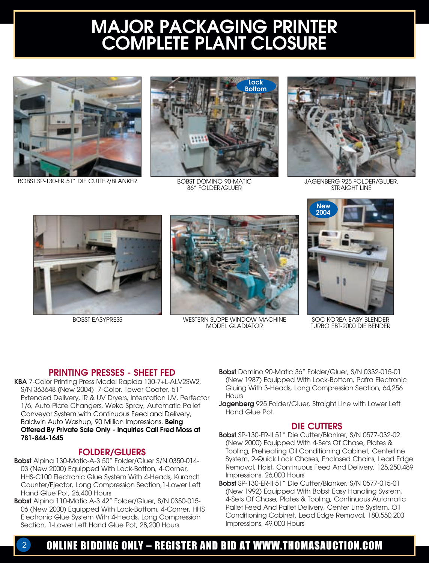# MAJOR PACKAGING PRINTER COMPLETE PLANT CLOSURE



BOBST SP-130-ER 51" DIE CUTTER/BLANKER



BOBST DOMINO 90-MATIC 36" FOLDER/GLUER



JAGENBERG 925 FOLDER/GLUER, STRAIGHT LINE



BOBST EASYPRESS



WESTERN SLOPE WINDOW MACHINE MODEL GLADIATOR



SOC KOREA EASY BLENDER TURBO EBT-2000 DIE BENDER

#### PRINTING PRESSES - SHEET FED

KBA 7-Color Printing Press Model Rapida 130-7+L-ALV2SW2, S/N 363648 (New 2004) 7-Color, Tower Coater, 51" Extended Delivery, IR & UV Dryers, Interstation UV, Perfector 1/6, Auto Plate Changers, Weko Spray, Automatic Pallet Conveyor System with Continuous Feed and Delivery, Baldwin Auto Washup, 90 Million Impressions. Being Offered By Private Sale Only - Inquiries Call Fred Moss at 781-844-1645

#### FOLDER/GLUERS

- Bobst Alpina 130-Matic-A-3 50" Folder/Gluer S/N 0350-014- 03 (New 2000) Equipped With Lock-Botton, 4-Corner, HHS-C100 Electronic Glue System With 4-Heads, Kurandt Counter/Ejector, Long Compression Section,1-Lower Left Hand Glue Pot, 26,400 Hours
- Bobst Alpina 110-Matic A-3 42" Folder/Gluer, S/N 0350-015- 06 (New 2000) Equipped With Lock-Bottom, 4-Corner, HHS Electronic Glue System With 4-Heads, Long Compression Section, 1-Lower Left Hand Glue Pot, 28,200 Hours
- Bobst Domino 90-Matic 36" Folder/Gluer, S/N 0332-015-01 (New 1987) Equipped With Lock-Bottom, Pafra Electronic Gluing With 3-Heads, Long Compression Section, 64,256 **Hours**
- Jagenberg 925 Folder/Gluer, Straight Line with Lower Left Hand Glue Pot.

#### DIE CUTTERS

- Bobst SP-130-ER-II 51" Die Cutter/Blanker, S/N 0577-032-02 (New 2000) Equipped With 4-Sets Of Chase, Plates & Tooling, Preheating Oil Conditioning Cabinet, Centerline System, 2-Quick Lock Chases, Enclosed Chains, Lead Edge Removal, Hoist, Continuous Feed And Delivery, 125,250,489 Impressions. 26,000 Hours
- Bobst SP-130-ER-II 51" Die Cutter/Blanker, S/N 0577-015-01 (New 1992) Equipped With Bobst Easy Handling System, 4-Sets Of Chase, Plates & Tooling, Continuous Automatic Pallet Feed And Pallet Delivery, Center Line System, Oil Conditioning Cabinet, Lead Edge Removal, 180,550,200 Impressions, 49,000 Hours

### 2 ONLINE BIDDING ONLY – REGISTER AND BID AT WWW.THOMASAUCTION.COM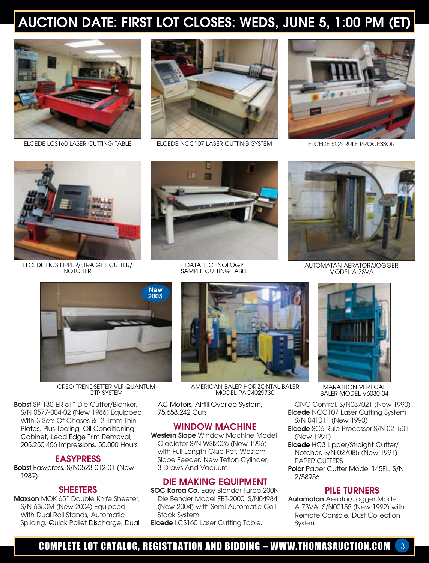# AUCTION DATE: FIRST LOT CLOSES: WEDS, JUNE 5, 1:00 PM (ET)



ELCEDE LCS160 LASER CUTTING TABLE



ELCEDE NCC107 LASER CUTTING SYSTEM



ELCEDE SC6 RULE PROCESSOR



ELCEDE HC3 LIPPER/STRAIGHT CUTTER/ **NOTCHER** 



DATA TECHNOLOGY SAMPLE CUTTING TABLE



AUTOMATAN AERATOR/JOGGER MODEL A 73VA



CREO TRENDSETTER VLF QUANTUM CTP SYSTEM

Bobst SP-130-ER 51" Die Cutter/Blanker, S/N 0577-004-02 (New 1986) Equipped With 3-Sets Of Chases & 2-1mm Thin Plates, Plus Tooling, Oil Conditioning Cabinet, Lead Edge Trim Removal, 205,250,456 Impressions, 55,000 Hours

#### EASYPRESS

Bobst Easypress, S/N0523-012-01 (New 1989)

#### **SHEETERS**

Maxson MOK 65" Double Knife Sheeter, S/N 6350M (New 2004) Equipped With Dual Roll Stands, Automatic Splicing, Quick Pallet Discharge, Dual



AMERICAN BALER HORIZONTAL BALER MODEL PAC4029730

AC Motors, Airfill Overlap System, 75,658,242 Cuts

#### WINDOW MACHINE

Western Slope Window Machine Model Gladiator S/N WSI2026 (New 1996) with Full Length Glue Pot, Western Slope Feeder, New Teflon Cylinder, 3-Draws And Vacuum

#### DIE MAKING EQUIPMENT

SOC Korea Co. Easy Blender Turbo 200N Die Bender Model EBT-2000, S/N04984 (New 2004) with Semi-Automatic Coil Stack System

Elcede LCS160 Laser Cutting Table,



MARATHON VERTICAL BALER MODEL V6030-04

CNC Control, S/N037021 (New 1990) Elcede NCC107 Laser Cutting System S/N 041011 (New 1990)

- Elcede SC6 Rule Processor S/N 021501 (New 1991)
- Elcede HC3 Lipper/Straight Cutter/ Notcher, S/N 027085 (New 1991) PAPER CUTTERS
- Polar Paper Cutter Model 145EL, S/N 2/58956

#### PILE TURNERS

Automatan Aerator/Jogger Model A 73VA, S/N00155 (New 1992) with Remote Console, Dust Collection System

### COMPLETE LOT CATALOG, REGISTRATION AND BIDDING – WWW.THOMASAUCTION.COM 3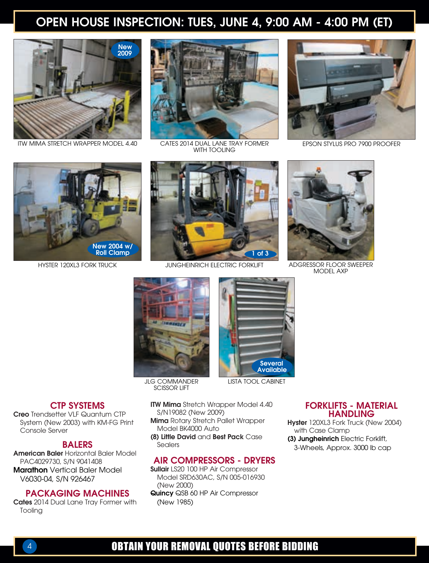### OPEN HOUSE INSPECTION: TUES, JUNE 4, 9:00 AM - 4:00 PM (ET)



ITW MIMA STRETCH WRAPPER MODEL 4.40



CATES 2014 DUAL LANE TRAY FORMER EPSON STYLUS PRO 7900 PROOFER WITH TOOLING







HYSTER 120XL3 FORK TRUCK ADGRESSOR FLOOR SWEEPER JUNGHEINRICH ELECTRIC FORKLIFT



MODEL AXP





SCISSOR LIFT

- FORKLIFTS MATERIAL
	- HANDLING
	- Hyster 120XL3 Fork Truck (New 2004) with Case Clamp (3) Jungheinrich Electric Forklift, 3-Wheels, Approx. 3000 lb cap

#### CTP SYSTEMS

Creo Trendsetter VLF Quantum CTP System (New 2003) with KM-FG Print Console Server

#### BALERS

American Baler Horizontal Baler Model PAC4029730, S/N 9041408 Marathon Vertical Baler Model V6030-04, S/N 926467

#### PACKAGING MACHINES

Cates 2014 Dual Lane Tray Former with Tooling

- **ITW Mima** Stretch Wrapper Model 4.40 S/N19082 (New 2009)
- Mima Rotary Stretch Pallet Wrapper Model BK4000 Auto
- (8) Little David and Best Pack Case Sealers

#### AIR COMPRESSORS - DRYERS

- Sullair LS20 100 HP Air Compressor Model SRD630AC, S/N 005-016930 (New 2000)
- Quincy QSB 60 HP Air Compressor (New 1985)

### 4 OBTAIN YOUR REMOVAL QUOTES BEFORE BIDDING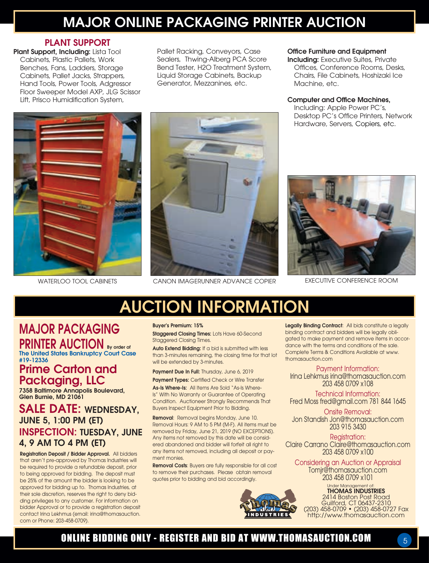## MAJOR ONLINE PACKAGING PRINTER AUCTION

### PLANT SUPPORT

Plant Support, Including: Lista Tool Cabinets, Plastic Pallets, Work Benches, Fans, Ladders, Storage Cabinets, Pallet Jacks, Strappers, Hand Tools, Power Tools, Adgressor Floor Sweeper Model AXP, JLG Scissor Lift, Prisco Humidification System,

Pallet Racking, Conveyors, Case Sealers, Thwing-Alberg PCA Score Bend Tester, H2O Treatment System, Liquid Storage Cabinets, Backup Generator, Mezzanines, etc.

#### Office Furniture and Equipment

**Including:** Executive Suites, Private Offices, Conference Rooms, Desks, Chairs, File Cabinets, Hoshizaki Ice Machine, etc.

#### Computer and Office Machines,

Including: Apple Power PC's, Desktop PC's Office Printers, Network Hardware, Servers, Copiers, etc.





WATERLOO TOOL CABINETS CANON IMAGERUNNER ADVANCE COPIER EXECUTIVE CONFERENCE ROOM



# AUCTION INFORMATION

## MAJOR PACKAGING PRINTER AUCTION By order of The United States Bankruptcy Court Case

#19-12336

### Prime Carton and Packaging, LLC

7358 Baltimore Annapolis Boulevard, Glen Burnie, MD 21061

### SALE DATE: WEDNESDAY, JUNE 5, 1:00 PM (ET) INSPECTION: TUESDAY, JUNE 4, 9 AM TO 4 PM (ET)

Registration Deposit / Bidder Approval. All bidders that aren't pre-approved by Thomas Industries will be required to provide a refundable deposit, prior to being approved for bidding. The deposit must be 25% of the amount the bidder is looking to be approved for bidding up to. Thomas Industries, at their sole discretion, reserves the right to deny bidding privileges to any customer. For information on bidder Approval or to provide a registration deposit contact Irina Lekhmus (email: irina@thomasauction. com or Phone: 203-458-0709).

#### Buyer's Premium: 15% Staggered Closing Times: Lots Have 60-Second Staggered Closing Times.

Auto Extend Bidding: If a bid is submitted with less than 3-minutes remaining, the closing time for that lot will be extended by 3-minutes.

Payment Due In Full: Thursday, June 6, 2019

Payment Types: Certified Check or Wire Transfer

As-Is Where-Is: All Items Are Sold "As-Is Where-Is" With No Warranty or Guarantee of Operating Condition. Auctioneer Strongly Recommends That Buyers Inspect Equipment Prior to Bidding.

Removal: Removal begins Monday, June 10. Removal Hours: 9 AM to 5 PM (M-F). All items must be removed by Friday, June 21, 2019 (NO EXCEPTIONS). Any items not removed by this date will be considered abandoned and bidder will forfeit all right to any items not removed, including all deposit or payment monies.

Removal Costs: Buyers are fully responsible for all cost to remove their purchases. Please obtain removal quotes prior to bidding and bid accordingly.



Legally Binding Contract: All bids constitute a legally binding contract and bidders will be legally obligated to make payment and remove items in accordance with the terms and conditions of the sale. Complete Terms & Conditions Available at www. thomasauction.com

Payment Information: Irina Lehkmus irina@thomasauction.com 203 458 0709 x108

Technical Information: Fred Moss fred@gmail.com 781 844 1645

Onsite Removal: Jon Standish Jon@thomasauction.com 203 915 3430

Reaistration: Claire Carrano Claire@thomasauction.com 203 458 0709 x100

Considering an Auction or Appraisal Tomjr@thomasauction.com 203 458 0709 x101

Under Management of:<br>**THOMAS INDUSTRIES** 2414 Boston Post Road Guilford, CT 06437-2310 (203) 458-0709 • (203) 458-0727 Fax http://www.thomasauction.com

### ONLINE BIDDING ONLY - REGISTER AND BID AT WWW.THOMASAUCTION.COM